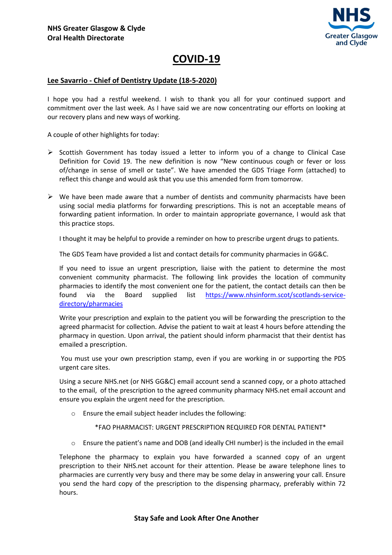

## COVID-19

## Lee Savarrio - Chief of Dentistry Update (18-5-2020)

I hope you had a restful weekend. I wish to thank you all for your continued support and commitment over the last week. As I have said we are now concentrating our efforts on looking at our recovery plans and new ways of working.

A couple of other highlights for today:

- $\triangleright$  Scottish Government has today issued a letter to inform you of a change to Clinical Case Definition for Covid 19. The new definition is now "New continuous cough or fever or loss of/change in sense of smell or taste". We have amended the GDS Triage Form (attached) to reflect this change and would ask that you use this amended form from tomorrow.
- $\triangleright$  We have been made aware that a number of dentists and community pharmacists have been using social media platforms for forwarding prescriptions. This is not an acceptable means of forwarding patient information. In order to maintain appropriate governance, I would ask that this practice stops.

I thought it may be helpful to provide a reminder on how to prescribe urgent drugs to patients.

The GDS Team have provided a list and contact details for community pharmacies in GG&C.

If you need to issue an urgent prescription, liaise with the patient to determine the most convenient community pharmacist. The following link provides the location of community pharmacies to identify the most convenient one for the patient, the contact details can then be found via the Board supplied list https://www.nhsinform.scot/scotlands-servicedirectory/pharmacies

Write your prescription and explain to the patient you will be forwarding the prescription to the agreed pharmacist for collection. Advise the patient to wait at least 4 hours before attending the pharmacy in question. Upon arrival, the patient should inform pharmacist that their dentist has emailed a prescription.

 You must use your own prescription stamp, even if you are working in or supporting the PDS urgent care sites.

Using a secure NHS.net (or NHS GG&C) email account send a scanned copy, or a photo attached to the email, of the prescription to the agreed community pharmacy NHS.net email account and ensure you explain the urgent need for the prescription.

o Ensure the email subject header includes the following:

## \*FAO PHARMACIST: URGENT PRESCRIPTION REQUIRED FOR DENTAL PATIENT\*

o Ensure the patient's name and DOB (and ideally CHI number) is the included in the email

Telephone the pharmacy to explain you have forwarded a scanned copy of an urgent prescription to their NHS.net account for their attention. Please be aware telephone lines to pharmacies are currently very busy and there may be some delay in answering your call. Ensure you send the hard copy of the prescription to the dispensing pharmacy, preferably within 72 hours.

## Stay Safe and Look After One Another